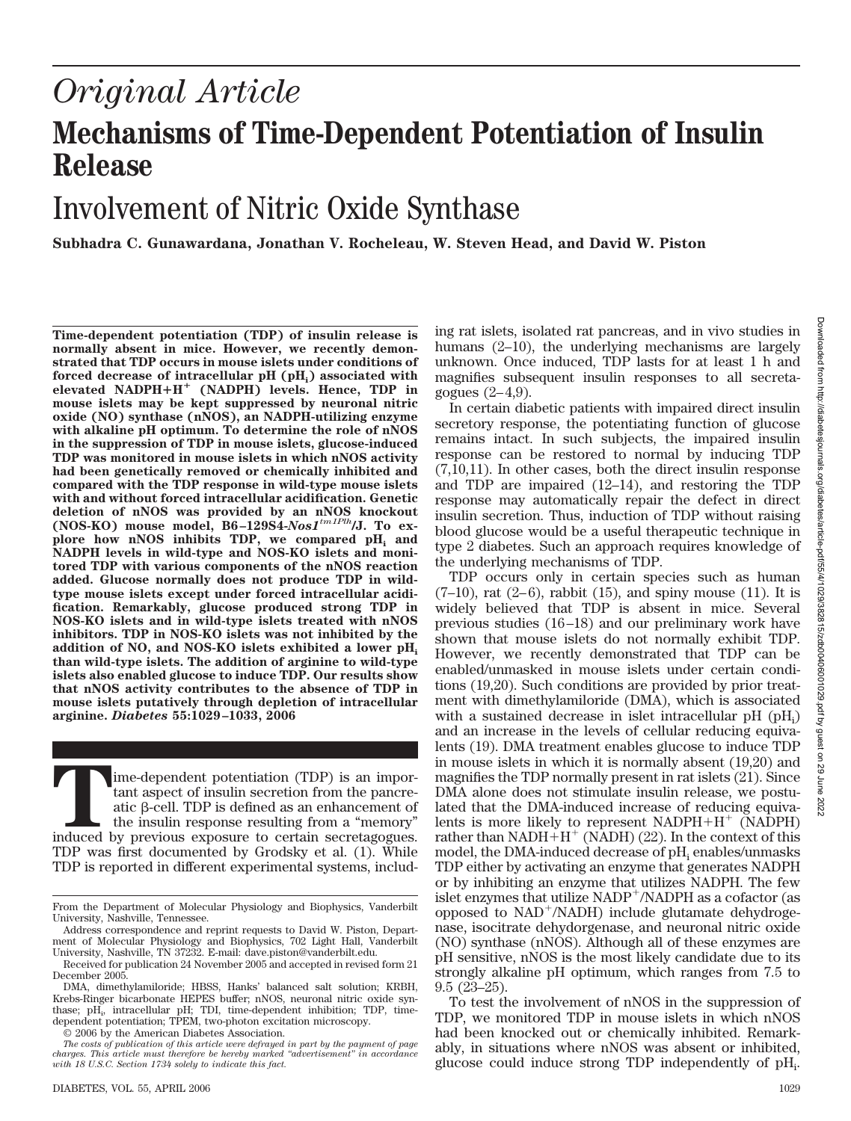# *Original Article* **Mechanisms of Time-Dependent Potentiation of Insulin Release**

# Involvement of Nitric Oxide Synthase

**Subhadra C. Gunawardana, Jonathan V. Rocheleau, W. Steven Head, and David W. Piston**

**Time-dependent potentiation (TDP) of insulin release is normally absent in mice. However, we recently demonstrated that TDP occurs in mouse islets under conditions of** forced decrease of intracellular pH (pH<sub>i</sub>) associated with **elevated NADPHH (NADPH) levels. Hence, TDP in mouse islets may be kept suppressed by neuronal nitric oxide (NO) synthase (nNOS), an NADPH-utilizing enzyme with alkaline pH optimum. To determine the role of nNOS in the suppression of TDP in mouse islets, glucose-induced TDP was monitored in mouse islets in which nNOS activity had been genetically removed or chemically inhibited and compared with the TDP response in wild-type mouse islets with and without forced intracellular acidification. Genetic deletion of nNOS was provided by an nNOS knockout (NOS-KO) mouse model, B6 –129S4-***Nos1tm1Plh***/J. To ex**plore how nNOS inhibits TDP, we compared pH<sub>i</sub> and **NADPH levels in wild-type and NOS-KO islets and monitored TDP with various components of the nNOS reaction added. Glucose normally does not produce TDP in wildtype mouse islets except under forced intracellular acidification. Remarkably, glucose produced strong TDP in NOS-KO islets and in wild-type islets treated with nNOS inhibitors. TDP in NOS-KO islets was not inhibited by the addition of NO, and NOS-KO islets exhibited a lower pHi than wild-type islets. The addition of arginine to wild-type islets also enabled glucose to induce TDP. Our results show that nNOS activity contributes to the absence of TDP in mouse islets putatively through depletion of intracellular arginine.** *Diabetes* **55:1029 –1033, 2006**

**Time-dependent potentiation (TDP) is an important aspect of insulin secretion from the pancreatic β-cell. TDP is defined as an enhancement of the insulin response resulting from a "memory" induced by previous exposure to** tant aspect of insulin secretion from the pancreatic  $\beta$ -cell. TDP is defined as an enhancement of the insulin response resulting from a "memory" TDP was first documented by Grodsky et al. (1). While TDP is reported in different experimental systems, includ-

© 2006 by the American Diabetes Association.

ing rat islets, isolated rat pancreas, and in vivo studies in humans (2–10), the underlying mechanisms are largely unknown. Once induced, TDP lasts for at least 1 h and magnifies subsequent insulin responses to all secretagogues  $(2-4,9)$ .

In certain diabetic patients with impaired direct insulin secretory response, the potentiating function of glucose remains intact. In such subjects, the impaired insulin response can be restored to normal by inducing TDP (7,10,11). In other cases, both the direct insulin response and TDP are impaired (12–14), and restoring the TDP response may automatically repair the defect in direct insulin secretion. Thus, induction of TDP without raising blood glucose would be a useful therapeutic technique in type 2 diabetes. Such an approach requires knowledge of the underlying mechanisms of TDP.

TDP occurs only in certain species such as human  $(7-10)$ , rat  $(2-6)$ , rabbit  $(15)$ , and spiny mouse  $(11)$ . It is widely believed that TDP is absent in mice. Several previous studies (16 –18) and our preliminary work have shown that mouse islets do not normally exhibit TDP. However, we recently demonstrated that TDP can be enabled/unmasked in mouse islets under certain conditions (19,20). Such conditions are provided by prior treatment with dimethylamiloride (DMA), which is associated with a sustained decrease in islet intracellular pH (pH<sub>i</sub>) and an increase in the levels of cellular reducing equivalents (19). DMA treatment enables glucose to induce TDP in mouse islets in which it is normally absent (19,20) and magnifies the TDP normally present in rat islets (21). Since DMA alone does not stimulate insulin release, we postulated that the DMA-induced increase of reducing equivalents is more likely to represent  $NADPH+H^+$  (NADPH) rather than  $NADH + H^+$  (NADH) (22). In the context of this model, the DMA-induced decrease of  $pH_i$  enables/unmasks TDP either by activating an enzyme that generates NADPH or by inhibiting an enzyme that utilizes NADPH. The few islet enzymes that utilize NADP<sup>+</sup>/NADPH as a cofactor (as opposed to NAD-/NADH) include glutamate dehydrogenase, isocitrate dehydorgenase, and neuronal nitric oxide (NO) synthase (nNOS). Although all of these enzymes are pH sensitive, nNOS is the most likely candidate due to its strongly alkaline pH optimum, which ranges from 7.5 to 9.5 (23–25).

To test the involvement of nNOS in the suppression of TDP, we monitored TDP in mouse islets in which nNOS had been knocked out or chemically inhibited. Remarkably, in situations where nNOS was absent or inhibited, glucose could induce strong TDP independently of pH<sub>i</sub>.

From the Department of Molecular Physiology and Biophysics, Vanderbilt University, Nashville, Tennessee.

Address correspondence and reprint requests to David W. Piston, Department of Molecular Physiology and Biophysics, 702 Light Hall, Vanderbilt University, Nashville, TN 37232. E-mail: dave.piston@vanderbilt.edu.

Received for publication 24 November 2005 and accepted in revised form 21 December 2005.

DMA, dimethylamiloride; HBSS, Hanks' balanced salt solution; KRBH, Krebs-Ringer bicarbonate HEPES buffer; nNOS, neuronal nitric oxide synthase; pH<sub>i</sub>, intracellular pH; TDI, time-dependent inhibition; TDP, timedependent potentiation; TPEM, two-photon excitation microscopy.

*The costs of publication of this article were defrayed in part by the payment of page charges. This article must therefore be hereby marked "advertisement" in accordance with 18 U.S.C. Section 1734 solely to indicate this fact.*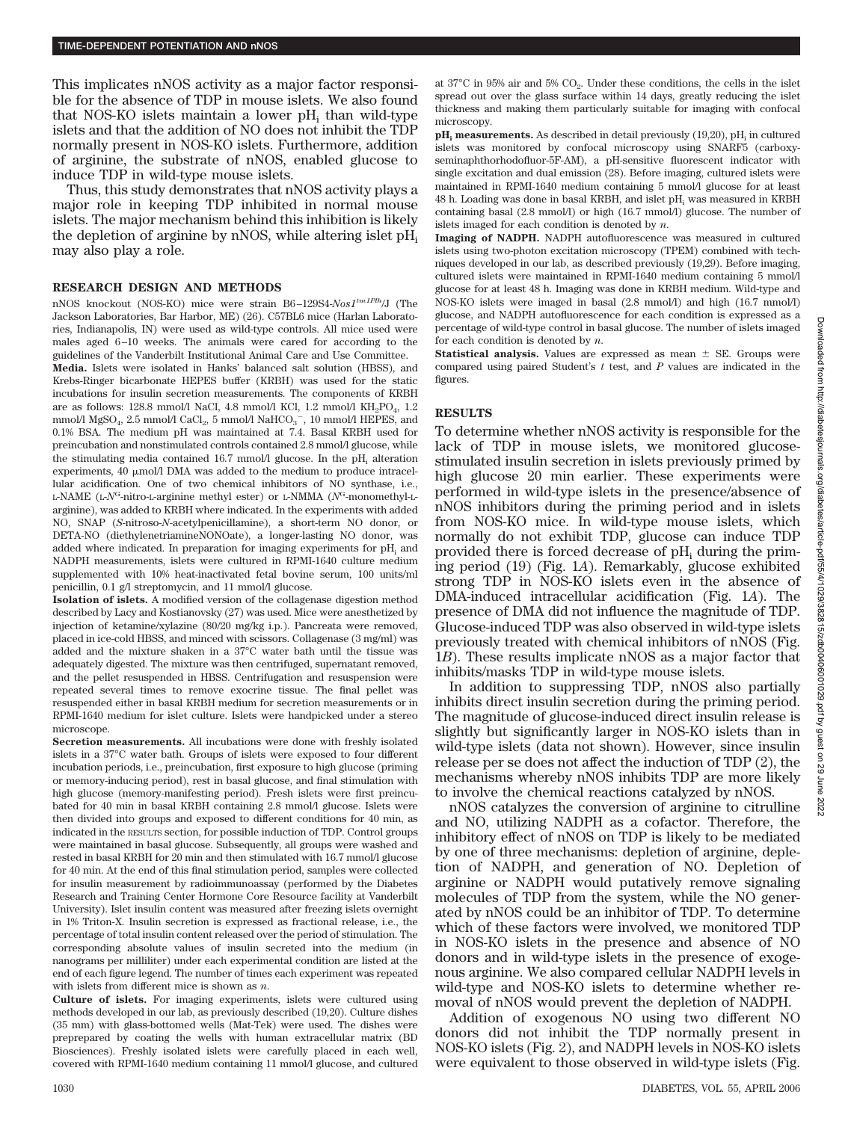This implicates nNOS activity as a major factor responsible for the absence of TDP in mouse islets. We also found that NOS-KO islets maintain a lower  $pH_i$  than wild-type islets and that the addition of NO does not inhibit the TDP normally present in NOS-KO islets. Furthermore, addition of arginine, the substrate of nNOS, enabled glucose to induce TDP in wild-type mouse islets.

Thus, this study demonstrates that nNOS activity plays a major role in keeping TDP inhibited in normal mouse islets. The major mechanism behind this inhibition is likely the depletion of arginine by nNOS, while altering islet  $pH_i$ may also play a role.

#### **RESEARCH DESIGN AND METHODS**

nNOS knockout (NOS-KO) mice were strain B6 –129S4-*Nos1tm1Plh*/J (The Jackson Laboratories, Bar Harbor, ME) (26). C57BL6 mice (Harlan Laboratories, Indianapolis, IN) were used as wild-type controls. All mice used were males aged 6 –10 weeks. The animals were cared for according to the guidelines of the Vanderbilt Institutional Animal Care and Use Committee.

**Media.** Islets were isolated in Hanks' balanced salt solution (HBSS), and Krebs-Ringer bicarbonate HEPES buffer (KRBH) was used for the static incubations for insulin secretion measurements. The components of KRBH are as follows: 128.8 mmol/l NaCl, 4.8 mmol/l KCl, 1.2 mmol/l  $KH_{2}PO_{4}$ , 1.2 mmol/l $\mathrm{MgSO}_4, 2.5$ mmol/l $\mathrm{CaCl}_2,$ 5 mmol/l $\mathrm{NaHCO}_3^{-},$  10 mmol/l HEPES, and 0.1% BSA. The medium pH was maintained at 7.4. Basal KRBH used for preincubation and nonstimulated controls contained 2.8 mmol/l glucose, while the stimulating media contained 16.7 mmol/l glucose. In the  $pH_i$  alteration experiments, 40  $\mu$ mol/l DMA was added to the medium to produce intracellular acidification. One of two chemical inhibitors of NO synthase, i.e., L-NAME (L-*N*G-nitro-L-arginine methyl ester) or L-NMMA (*N*G-monomethyl-Larginine), was added to KRBH where indicated. In the experiments with added NO, SNAP (*S*-nitroso-*N*-acetylpenicillamine), a short-term NO donor, or DETA-NO (diethylenetriamineNONOate), a longer-lasting NO donor, was added where indicated. In preparation for imaging experiments for pH<sub>i</sub> and NADPH measurements, islets were cultured in RPMI-1640 culture medium supplemented with 10% heat-inactivated fetal bovine serum, 100 units/ml penicillin, 0.1 g/l streptomycin, and 11 mmol/l glucose.

**Isolation of islets.** A modified version of the collagenase digestion method described by Lacy and Kostianovsky (27) was used. Mice were anesthetized by injection of ketamine/xylazine (80/20 mg/kg i.p.). Pancreata were removed, placed in ice-cold HBSS, and minced with scissors. Collagenase (3 mg/ml) was added and the mixture shaken in a 37°C water bath until the tissue was adequately digested. The mixture was then centrifuged, supernatant removed, and the pellet resuspended in HBSS. Centrifugation and resuspension were repeated several times to remove exocrine tissue. The final pellet was resuspended either in basal KRBH medium for secretion measurements or in RPMI-1640 medium for islet culture. Islets were handpicked under a stereo microscope.

**Secretion measurements.** All incubations were done with freshly isolated islets in a 37°C water bath. Groups of islets were exposed to four different incubation periods, i.e., preincubation, first exposure to high glucose (priming or memory-inducing period), rest in basal glucose, and final stimulation with high glucose (memory-manifesting period). Fresh islets were first preincubated for 40 min in basal KRBH containing 2.8 mmol/l glucose. Islets were then divided into groups and exposed to different conditions for 40 min, as indicated in the RESULTS section, for possible induction of TDP. Control groups were maintained in basal glucose. Subsequently, all groups were washed and rested in basal KRBH for 20 min and then stimulated with 16.7 mmol/l glucose for 40 min. At the end of this final stimulation period, samples were collected for insulin measurement by radioimmunoassay (performed by the Diabetes Research and Training Center Hormone Core Resource facility at Vanderbilt University). Islet insulin content was measured after freezing islets overnight in 1% Triton-X. Insulin secretion is expressed as fractional release, i.e., the percentage of total insulin content released over the period of stimulation. The corresponding absolute values of insulin secreted into the medium (in nanograms per milliliter) under each experimental condition are listed at the end of each figure legend. The number of times each experiment was repeated with islets from different mice is shown as *n*.

**Culture of islets.** For imaging experiments, islets were cultured using methods developed in our lab, as previously described (19,20). Culture dishes (35 mm) with glass-bottomed wells (Mat-Tek) were used. The dishes were preprepared by coating the wells with human extracellular matrix (BD Biosciences). Freshly isolated islets were carefully placed in each well, covered with RPMI-1640 medium containing 11 mmol/l glucose, and cultured at  $37^{\circ}$ C in  $95\%$  air and  $5\%$  CO<sub>2</sub>. Under these conditions, the cells in the islet spread out over the glass surface within 14 days, greatly reducing the islet thickness and making them particularly suitable for imaging with confocal microscopy.

 $pH_i$  **measurements.** As described in detail previously  $(19,20)$ ,  $pH_i$  in cultured islets was monitored by confocal microscopy using SNARF5 (carboxyseminaphthorhodofluor-5F-AM), a pH-sensitive fluorescent indicator with single excitation and dual emission (28). Before imaging, cultured islets were maintained in RPMI-1640 medium containing 5 mmol/l glucose for at least  $48$  h. Loading was done in basal KRBH, and islet  $\rm pH_{i}$  was measured in KRBH containing basal (2.8 mmol/l) or high (16.7 mmol/l) glucose. The number of islets imaged for each condition is denoted by *n*.

**Imaging of NADPH.** NADPH autofluorescence was measured in cultured islets using two-photon excitation microscopy (TPEM) combined with techniques developed in our lab, as described previously (19,29). Before imaging, cultured islets were maintained in RPMI-1640 medium containing 5 mmol/l glucose for at least 48 h. Imaging was done in KRBH medium. Wild-type and NOS-KO islets were imaged in basal (2.8 mmol/l) and high (16.7 mmol/l) glucose, and NADPH autofluorescence for each condition is expressed as a percentage of wild-type control in basal glucose. The number of islets imaged for each condition is denoted by *n*.

**Statistical analysis.** Values are expressed as mean  $\pm$  SE. Groups were compared using paired Student's *t* test, and *P* values are indicated in the figures.

## **RESULTS**

To determine whether nNOS activity is responsible for the lack of TDP in mouse islets, we monitored glucosestimulated insulin secretion in islets previously primed by high glucose 20 min earlier. These experiments were performed in wild-type islets in the presence/absence of nNOS inhibitors during the priming period and in islets from NOS-KO mice. In wild-type mouse islets, which normally do not exhibit TDP, glucose can induce TDP provided there is forced decrease of  $pH_i$  during the priming period (19) (Fig. 1*A*). Remarkably, glucose exhibited strong TDP in NOS-KO islets even in the absence of DMA-induced intracellular acidification (Fig. 1*A*). The presence of DMA did not influence the magnitude of TDP. Glucose-induced TDP was also observed in wild-type islets previously treated with chemical inhibitors of nNOS (Fig. 1*B*). These results implicate nNOS as a major factor that inhibits/masks TDP in wild-type mouse islets.

In addition to suppressing TDP, nNOS also partially inhibits direct insulin secretion during the priming period. The magnitude of glucose-induced direct insulin release is slightly but significantly larger in NOS-KO islets than in wild-type islets (data not shown). However, since insulin release per se does not affect the induction of TDP (2), the mechanisms whereby nNOS inhibits TDP are more likely to involve the chemical reactions catalyzed by nNOS.

nNOS catalyzes the conversion of arginine to citrulline and NO, utilizing NADPH as a cofactor. Therefore, the inhibitory effect of nNOS on TDP is likely to be mediated by one of three mechanisms: depletion of arginine, depletion of NADPH, and generation of NO. Depletion of arginine or NADPH would putatively remove signaling molecules of TDP from the system, while the NO generated by nNOS could be an inhibitor of TDP. To determine which of these factors were involved, we monitored TDP in NOS-KO islets in the presence and absence of NO donors and in wild-type islets in the presence of exogenous arginine. We also compared cellular NADPH levels in wild-type and NOS-KO islets to determine whether removal of nNOS would prevent the depletion of NADPH.

Addition of exogenous NO using two different NO donors did not inhibit the TDP normally present in NOS-KO islets (Fig. 2), and NADPH levels in NOS-KO islets were equivalent to those observed in wild-type islets (Fig.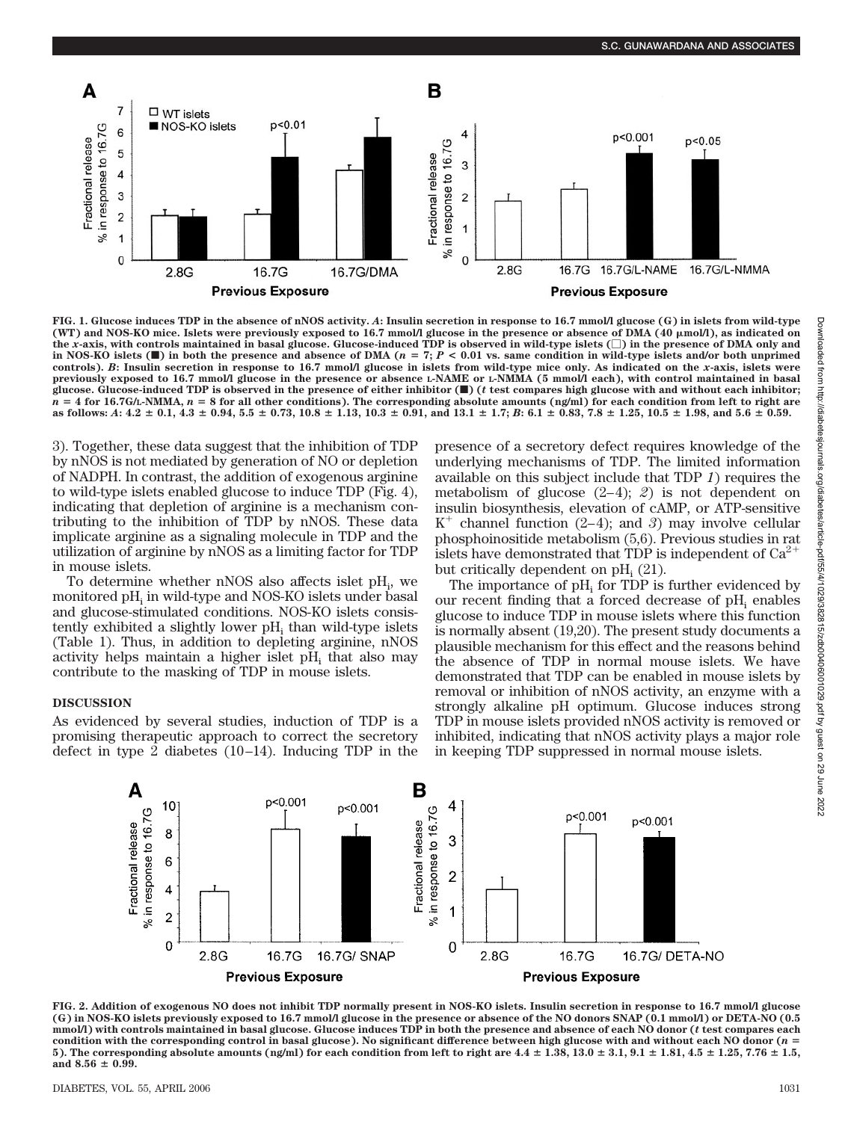

**FIG. 1. Glucose induces TDP in the absence of nNOS activity.** *A***: Insulin secretion in response to 16.7 mmol/l glucose (G) in islets from wild-type (WT) and NOS-KO mice. Islets were previously exposed to 16.7 mmol/l glucose in the presence or absence of DMA (40 mol/l), as indicated on the** *x***-axis, with controls maintained in basal glucose. Glucose-induced TDP is observed in wild-type islets () in the presence of DMA only and** in NOS-KO islets  $(\blacksquare)$  in both the presence and absence of DMA ( $n = 7$ ;  $P < 0.01$  vs. same condition in wild-type islets and/or both unprimed **controls).** *B***: Insulin secretion in response to 16.7 mmol/l glucose in islets from wild-type mice only. As indicated on the** *x***-axis, islets were previously exposed to 16.7 mmol/l glucose in the presence or absence L-NAME or L-NMMA (5 mmol/l each), with control maintained in basal glucose. Glucose-induced TDP is observed in the presence of either inhibitor (**f**) (***t* **test compares high glucose with and without each inhibitor;**  $n = 4$  for 16.7G/L-NMMA,  $n = 8$  for all other conditions). The corresponding absolute amounts (ng/ml) for each condition from left to right are as follows: A:  $4.2 \pm 0.1$ ,  $4.3 \pm 0.94$ ,  $5.5 \pm 0.73$ ,  $10.8 \pm 1.13$ ,  $10.3 \pm 0.91$ , and  $13.1 \pm 1.7$ ; B:  $6.1 \pm 0.83$ ,  $7.8 \pm 1.25$ ,  $10.5 \pm 1.98$ , and  $5.6 \pm 0.59$ .

3). Together, these data suggest that the inhibition of TDP by nNOS is not mediated by generation of NO or depletion of NADPH. In contrast, the addition of exogenous arginine to wild-type islets enabled glucose to induce TDP (Fig. 4), indicating that depletion of arginine is a mechanism contributing to the inhibition of TDP by nNOS. These data implicate arginine as a signaling molecule in TDP and the utilization of arginine by nNOS as a limiting factor for TDP in mouse islets.

To determine whether nNOS also affects islet pH<sub>i</sub>, we monitored  $pH_i$  in wild-type and NOS-KO islets under basal and glucose-stimulated conditions. NOS-KO islets consistently exhibited a slightly lower pH<sub>i</sub> than wild-type islets (Table 1). Thus, in addition to depleting arginine, nNOS activity helps maintain a higher islet pH<sub>i</sub> that also may contribute to the masking of TDP in mouse islets.

# **DISCUSSION**

As evidenced by several studies, induction of TDP is a promising therapeutic approach to correct the secretory defect in type 2 diabetes  $(10-14)$ . Inducing TDP in the presence of a secretory defect requires knowledge of the underlying mechanisms of TDP. The limited information available on this subject include that TDP *1*) requires the metabolism of glucose  $(2-4)$ ; 2) is not dependent on insulin biosynthesis, elevation of cAMP, or ATP-sensitive  $K^+$  channel function (2-4); and 3) may involve cellular phosphoinositide metabolism (5,6). Previous studies in rat islets have demonstrated that  $\text{TDP}$  is independent of  $\text{Ca}^{2+}$ but critically dependent on  $\rm pH_{i}$  (21).

The importance of  $pH_i$  for TDP is further evidenced by our recent finding that a forced decrease of  $pH_i$  enables glucose to induce TDP in mouse islets where this function is normally absent (19,20). The present study documents a plausible mechanism for this effect and the reasons behind the absence of TDP in normal mouse islets. We have demonstrated that TDP can be enabled in mouse islets by removal or inhibition of nNOS activity, an enzyme with a strongly alkaline pH optimum. Glucose induces strong TDP in mouse islets provided nNOS activity is removed or inhibited, indicating that nNOS activity plays a major role in keeping TDP suppressed in normal mouse islets.



**FIG. 2. Addition of exogenous NO does not inhibit TDP normally present in NOS-KO islets. Insulin secretion in response to 16.7 mmol/l glucose (G) in NOS-KO islets previously exposed to 16.7 mmol/l glucose in the presence or absence of the NO donors SNAP (0.1 mmol/l) or DETA-NO (0.5 mmol/l) with controls maintained in basal glucose. Glucose induces TDP in both the presence and absence of each NO donor (***t* **test compares each condition with the corresponding control in basal glucose). No significant difference between high glucose with and without each NO donor (***n* - **5**). The corresponding absolute amounts (ng/ml) for each condition from left to right are  $4.4 \pm 1.38$ ,  $13.0 \pm 3.1$ ,  $9.1 \pm 1.81$ ,  $4.5 \pm 1.25$ ,  $7.76 \pm 1.5$ , and  $8.56 \pm 0.99$ .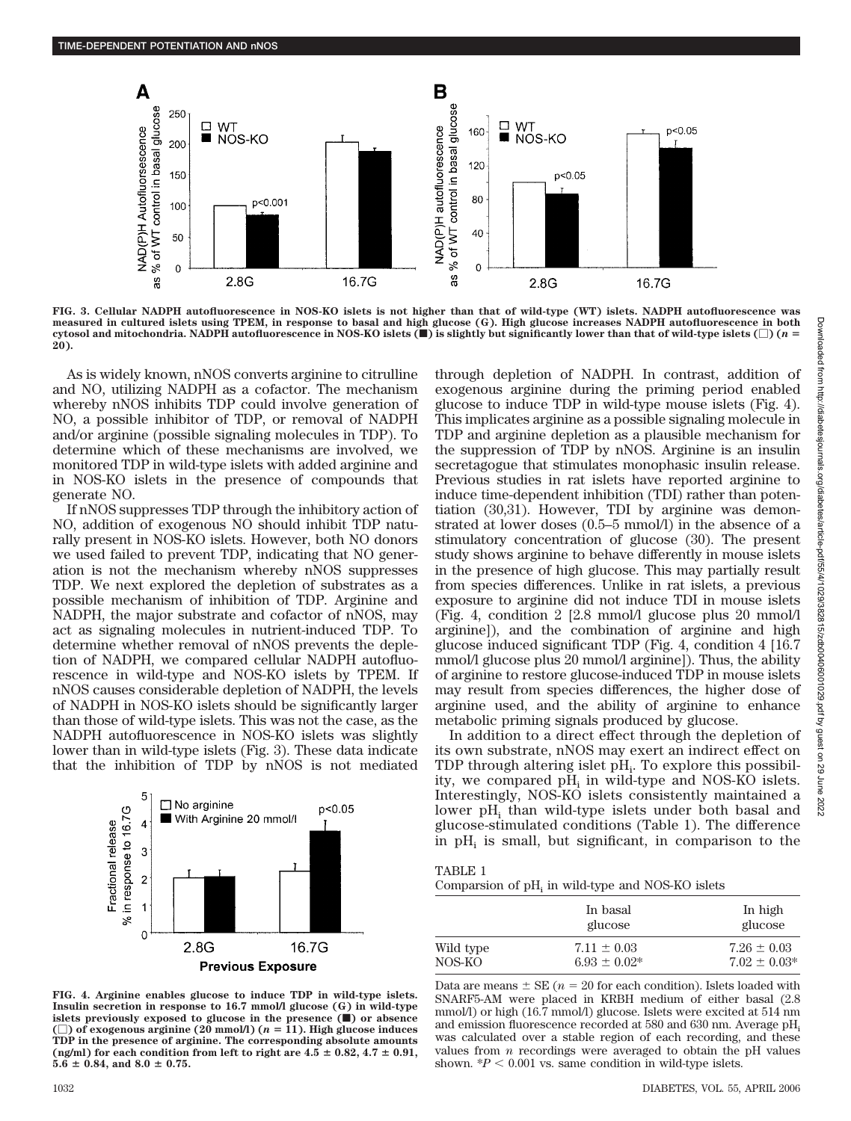

**FIG. 3. Cellular NADPH autofluorescence in NOS-KO islets is not higher than that of wild-type (WT) islets. NADPH autofluorescence was measured in cultured islets using TPEM, in response to basal and high glucose (G). High glucose increases NADPH autofluorescence in both cytosol and mitochondria. NADPH autofluorescence in NOS-KO islets (**f**) is slightly but significantly lower than that of wild-type islets () (***n* - **20).**

As is widely known, nNOS converts arginine to citrulline and NO, utilizing NADPH as a cofactor. The mechanism whereby nNOS inhibits TDP could involve generation of NO, a possible inhibitor of TDP, or removal of NADPH and/or arginine (possible signaling molecules in TDP). To determine which of these mechanisms are involved, we monitored TDP in wild-type islets with added arginine and in NOS-KO islets in the presence of compounds that generate NO.

If nNOS suppresses TDP through the inhibitory action of NO, addition of exogenous NO should inhibit TDP naturally present in NOS-KO islets. However, both NO donors we used failed to prevent TDP, indicating that NO generation is not the mechanism whereby nNOS suppresses TDP. We next explored the depletion of substrates as a possible mechanism of inhibition of TDP. Arginine and NADPH, the major substrate and cofactor of nNOS, may act as signaling molecules in nutrient-induced TDP. To determine whether removal of nNOS prevents the depletion of NADPH, we compared cellular NADPH autofluorescence in wild-type and NOS-KO islets by TPEM. If nNOS causes considerable depletion of NADPH, the levels of NADPH in NOS-KO islets should be significantly larger than those of wild-type islets. This was not the case, as the NADPH autofluorescence in NOS-KO islets was slightly lower than in wild-type islets (Fig. 3). These data indicate that the inhibition of TDP by nNOS is not mediated



**FIG. 4. Arginine enables glucose to induce TDP in wild-type islets. Insulin secretion in response to 16.7 mmol/l glucose (G) in wild-type islets previously exposed to glucose in the presence (**f**) or absence**  $(\Box)$  of exogenous arginine (20 mmol/l) ( $n = 11$ ). High glucose induces **TDP in the presence of arginine. The corresponding absolute amounts** (ng/ml) for each condition from left to right are  $4.5 \pm 0.82$ ,  $4.7 \pm 0.91$ ,  $5.6 \pm 0.84$ , and  $8.0 \pm 0.75$ .

through depletion of NADPH. In contrast, addition of exogenous arginine during the priming period enabled glucose to induce TDP in wild-type mouse islets (Fig. 4). This implicates arginine as a possible signaling molecule in TDP and arginine depletion as a plausible mechanism for the suppression of TDP by nNOS. Arginine is an insulin secretagogue that stimulates monophasic insulin release. Previous studies in rat islets have reported arginine to induce time-dependent inhibition (TDI) rather than potentiation (30,31). However, TDI by arginine was demonstrated at lower doses (0.5–5 mmol/l) in the absence of a stimulatory concentration of glucose (30). The present study shows arginine to behave differently in mouse islets in the presence of high glucose. This may partially result from species differences. Unlike in rat islets, a previous exposure to arginine did not induce TDI in mouse islets (Fig. 4, condition 2 [2.8 mmol/l glucose plus 20 mmol/l arginine]), and the combination of arginine and high glucose induced significant TDP (Fig. 4, condition 4 [16.7 mmol/l glucose plus 20 mmol/l arginine]). Thus, the ability of arginine to restore glucose-induced TDP in mouse islets may result from species differences, the higher dose of arginine used, and the ability of arginine to enhance metabolic priming signals produced by glucose.

In addition to a direct effect through the depletion of its own substrate, nNOS may exert an indirect effect on  $TDP$  through altering islet  $pH_i$ . To explore this possibility, we compared pH<sub>i</sub> in wild-type and NOS-KO islets. Interestingly, NOS-KO islets consistently maintained a lower pH<sub>i</sub> than wild-type islets under both basal and glucose-stimulated conditions (Table 1). The difference in  $pH_i$  is small, but significant, in comparison to the

| . |  |
|---|--|
|---|--|

Comparsion of  $pH_i$  in wild-type and NOS-KO islets

|           | In basal<br>glucose | In high<br>glucose |
|-----------|---------------------|--------------------|
| Wild type | $7.11 \pm 0.03$     | $7.26 \pm 0.03$    |
| NOS-KO    | $6.93 + 0.02*$      | $7.02 \pm 0.03*$   |

Data are means  $\pm$  SE ( $n = 20$  for each condition). Islets loaded with SNARF5-AM were placed in KRBH medium of either basal (2.8 mmol/l) or high (16.7 mmol/l) glucose. Islets were excited at 514 nm and emission fluorescence recorded at 580 and 630 nm. Average pH, was calculated over a stable region of each recording, and these values from *n* recordings were averaged to obtain the pH values shown.  $*P < 0.001$  vs. same condition in wild-type islets.